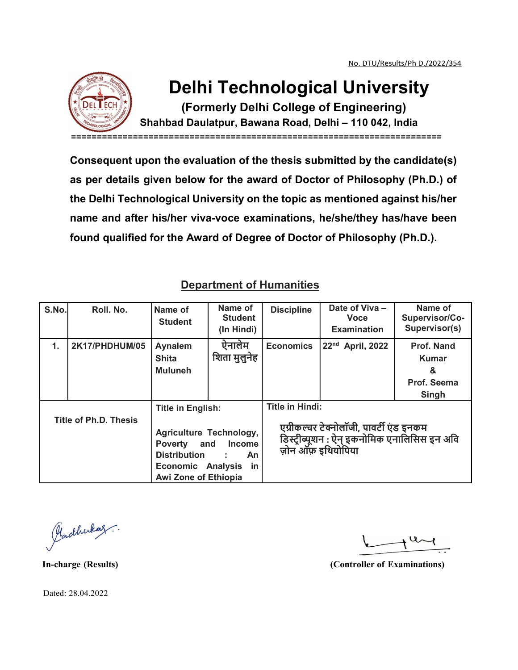

## Delhi Technological University

(Formerly Delhi College of Engineering)

Shahbad Daulatpur, Bawana Road, Delhi – 110 042, India ========================================================================

Consequent upon the evaluation of the thesis submitted by the candidate(s) as per details given below for the award of Doctor of Philosophy (Ph.D.) of the Delhi Technological University on the topic as mentioned against his/her name and after his/her viva-voce examinations, he/she/they has/have been found qualified for the Award of Degree of Doctor of Philosophy (Ph.D.).

|                                 | name and after his/her viva-voce examinations, he/she/they has/have been<br>found qualified for the Award of Degree of Doctor of Philosophy (Ph.D.). |                                                                                                                                                                                             |                                         |                                                                                                                                         |                                                     |                                                         |  |  |  |
|---------------------------------|------------------------------------------------------------------------------------------------------------------------------------------------------|---------------------------------------------------------------------------------------------------------------------------------------------------------------------------------------------|-----------------------------------------|-----------------------------------------------------------------------------------------------------------------------------------------|-----------------------------------------------------|---------------------------------------------------------|--|--|--|
| <b>Department of Humanities</b> |                                                                                                                                                      |                                                                                                                                                                                             |                                         |                                                                                                                                         |                                                     |                                                         |  |  |  |
| S.No.                           | Roll. No.                                                                                                                                            | Name of<br><b>Student</b>                                                                                                                                                                   | Name of<br><b>Student</b><br>(In Hindi) | <b>Discipline</b>                                                                                                                       | Date of Viva -<br><b>Voce</b><br><b>Examination</b> | Name of<br>Supervisor/Co-<br>Supervisor(s)              |  |  |  |
| 1.                              | 2K17/PHDHUM/05                                                                                                                                       | Aynalem<br><b>Shita</b><br><b>Muluneh</b>                                                                                                                                                   | ऐनालेम<br>शिता मुलुनेह                  | <b>Economics</b>                                                                                                                        | 22 <sup>nd</sup> April, 2022                        | Prof. Nand<br><b>Kumar</b><br>&<br>Prof. Seema<br>Singh |  |  |  |
| <b>Title of Ph.D. Thesis</b>    |                                                                                                                                                      | <b>Title in English:</b><br>Agriculture Technology,<br><b>Poverty</b><br>and<br><b>Income</b><br><b>Distribution</b><br>An<br><b>Economic Analysis</b><br>in<br><b>Awi Zone of Ethiopia</b> |                                         | <b>Title in Hindi:</b><br>एग्रीकल्चर टेक्नोलॉजी, पावर्टी एंड इनकम<br>डिस्ट्रीब्यूशन : ऐन् इकनोमिक एनालिसिस इन अवि<br>ज़ोन ऑफ़ इथियोपिया |                                                     |                                                         |  |  |  |

## Department of Humanities

Pladhukaz.

In-charge (Results) (Controller of Examinations)

Dated: 28.04.2022